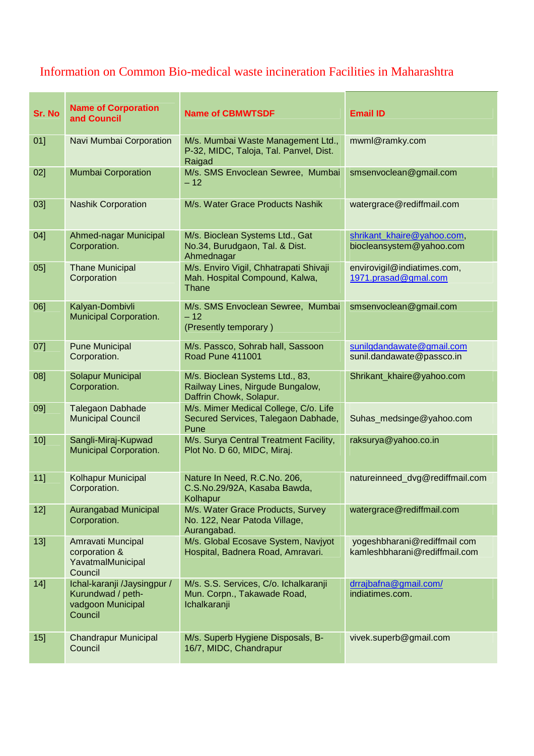## Information on Common Bio-medical waste incineration Facilities in Maharashtra

| Sr. No | <b>Name of Corporation</b><br>and Council                                        | <b>Name of CBMWTSDF</b>                                                                        | <b>Email ID</b>                                               |
|--------|----------------------------------------------------------------------------------|------------------------------------------------------------------------------------------------|---------------------------------------------------------------|
| 01]    | Navi Mumbai Corporation                                                          | M/s. Mumbai Waste Management Ltd.,<br>P-32, MIDC, Taloja, Tal. Panvel, Dist.<br>Raigad         | mwml@ramky.com                                                |
| 02]    | <b>Mumbai Corporation</b>                                                        | M/s. SMS Envoclean Sewree, Mumbai<br>$-12$                                                     | smsenvoclean@gmail.com                                        |
| 03]    | <b>Nashik Corporation</b>                                                        | M/s. Water Grace Products Nashik                                                               | watergrace@rediffmail.com                                     |
| 04]    | Ahmed-nagar Municipal<br>Corporation.                                            | M/s. Bioclean Systems Ltd., Gat<br>No.34, Burudgaon, Tal. & Dist.<br>Ahmednagar                | shrikant_khaire@yahoo.com,<br>biocleansystem@yahoo.com        |
| 05]    | <b>Thane Municipal</b><br>Corporation                                            | M/s. Enviro Vigil, Chhatrapati Shivaji<br>Mah. Hospital Compound, Kalwa,<br>Thane              | envirovigil@indiatimes.com,<br>1971.prasad@gmal.com           |
| 06]    | Kalyan-Dombivli<br><b>Municipal Corporation.</b>                                 | M/s. SMS Envoclean Sewree, Mumbai<br>$-12$<br>(Presently temporary)                            | smsenvoclean@gmail.com                                        |
| 07]    | <b>Pune Municipal</b><br>Corporation.                                            | M/s. Passco, Sohrab hall, Sassoon<br><b>Road Pune 411001</b>                                   | sunilgdandawate@gmail.com<br>sunil.dandawate@passco.in        |
| 08]    | Solapur Municipal<br>Corporation.                                                | M/s. Bioclean Systems Ltd., 83,<br>Railway Lines, Nirgude Bungalow,<br>Daffrin Chowk, Solapur. | Shrikant_khaire@yahoo.com                                     |
| 09]    | <b>Talegaon Dabhade</b><br><b>Municipal Council</b>                              | M/s. Mimer Medical College, C/o. Life<br>Secured Services, Talegaon Dabhade,<br>Pune           | Suhas_medsinge@yahoo.com                                      |
| 10]    | Sangli-Miraj-Kupwad<br>Municipal Corporation.                                    | M/s. Surya Central Treatment Facility,<br>Plot No. D 60, MIDC, Miraj.                          | raksurya@yahoo.co.in                                          |
| 11]    | Kolhapur Municipal<br>Corporation.                                               | Nature In Need, R.C.No. 206,<br>C.S.No.29/92A, Kasaba Bawda,<br>Kolhapur                       | natureinneed_dvg@rediffmail.com                               |
| 12]    | <b>Aurangabad Municipal</b><br>Corporation.                                      | M/s. Water Grace Products, Survey<br>No. 122, Near Patoda Village,<br>Aurangabad.              | watergrace@rediffmail.com                                     |
| 13]    | Amravati Muncipal<br>corporation &<br>YavatmalMunicipal<br>Council               | M/s. Global Ecosave System, Navjyot<br>Hospital, Badnera Road, Amravari.                       | yogeshbharani@rediffmail com<br>kamleshbharani@rediffmail.com |
| 14]    | Ichal-karanji /Jaysingpur /<br>Kurundwad / peth-<br>vadgoon Municipal<br>Council | M/s. S.S. Services, C/o. Ichalkaranji<br>Mun. Corpn., Takawade Road,<br>Ichalkaranji           | drrajbafna@gmail.com/<br>indiatimes.com.                      |
| 15]    | <b>Chandrapur Municipal</b><br>Council                                           | M/s. Superb Hygiene Disposals, B-<br>16/7, MIDC, Chandrapur                                    | vivek.superb@gmail.com                                        |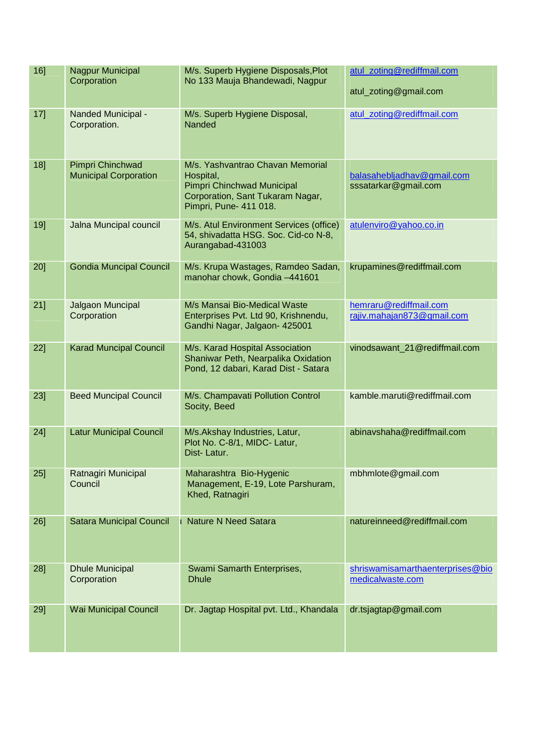| 16]    | Nagpur Municipal<br>Corporation                  | M/s. Superb Hygiene Disposals, Plot<br>No 133 Mauja Bhandewadi, Nagpur                                                                    | atul_zoting@rediffmail.com<br>atul_zoting@gmail.com  |
|--------|--------------------------------------------------|-------------------------------------------------------------------------------------------------------------------------------------------|------------------------------------------------------|
| 17]    | Nanded Municipal -<br>Corporation.               | M/s. Superb Hygiene Disposal,<br>Nanded                                                                                                   | atul_zoting@rediffmail.com                           |
| 18]    | Pimpri Chinchwad<br><b>Municipal Corporation</b> | M/s. Yashvantrao Chavan Memorial<br>Hospital,<br>Pimpri Chinchwad Municipal<br>Corporation, Sant Tukaram Nagar,<br>Pimpri, Pune- 411 018. | balasahebljadhav@gmail.com<br>sssatarkar@gmail.com   |
| 19]    | Jalna Muncipal council                           | M/s. Atul Environment Services (office)<br>54, shivadatta HSG. Soc. Cid-co N-8,<br>Aurangabad-431003                                      | atulenviro@yahoo.co.in                               |
| 20]    | <b>Gondia Muncipal Council</b>                   | M/s. Krupa Wastages, Ramdeo Sadan,<br>manohar chowk, Gondia -441601                                                                       | krupamines@rediffmail.com                            |
| $21$ ] | Jalgaon Muncipal<br>Corporation                  | M/s Mansai Bio-Medical Waste<br>Enterprises Pvt. Ltd 90, Krishnendu,<br>Gandhi Nagar, Jalgaon- 425001                                     | hemraru@rediffmail.com<br>rajiv.mahajan873@gmail.com |
| 22]    | <b>Karad Muncipal Council</b>                    | M/s. Karad Hospital Association<br>Shaniwar Peth, Nearpalika Oxidation<br>Pond, 12 dabari, Karad Dist - Satara                            | vinodsawant_21@rediffmail.com                        |
| $23$ ] | <b>Beed Muncipal Council</b>                     | M/s. Champavati Pollution Control<br>Socity, Beed                                                                                         | kamble.maruti@rediffmail.com                         |
| 24]    | <b>Latur Municipal Council</b>                   | M/s.Akshay Industries, Latur,<br>Plot No. C-8/1, MIDC- Latur,<br>Dist-Latur.                                                              | abinavshaha@rediffmail.com                           |
| 25]    | Ratnagiri Municipal<br>Council                   | Maharashtra Bio-Hygenic<br>Management, E-19, Lote Parshuram,<br>Khed, Ratnagiri                                                           | mbhmlote@gmail.com                                   |
| $26$ ] | <b>Satara Municipal Council</b>                  | I Nature N Need Satara                                                                                                                    | natureinneed@rediffmail.com                          |
| 28]    | <b>Dhule Municipal</b><br>Corporation            | Swami Samarth Enterprises,<br><b>Dhule</b>                                                                                                | shriswamisamarthaenterprises@bio<br>medicalwaste.com |
| 29]    | <b>Wai Municipal Council</b>                     | Dr. Jagtap Hospital pvt. Ltd., Khandala                                                                                                   | dr.tsjagtap@gmail.com                                |